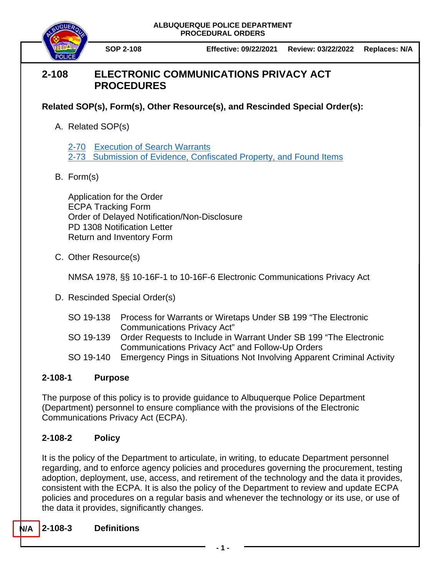

**SOP 2-108 Effective: 09/22/2021 Review: 03/22/2022 Replaces: N/A**

# **2-108 ELECTRONIC COMMUNICATIONS PRIVACY ACT PROCEDURES**

**Related SOP(s), Form(s), Other Resource(s), and Rescinded Special Order(s):**

A. Related SOP(s)

2-70 [Execution of Search Warrants](https://powerdms.com/docs/99) [2-73 Submission of Evidence, Confiscated Property, and Found Items](https://powerdms.com/docs/88)

B. Form(s)

Application for the Order ECPA Tracking Form Order of Delayed Notification/Non-Disclosure PD 1308 Notification Letter Return and Inventory Form

C. Other Resource(s)

NMSA 1978, §§ 10-16F-1 to 10-16F-6 Electronic Communications Privacy Act

- D. Rescinded Special Order(s)
	- SO 19-138 Process for Warrants or Wiretaps Under SB 199 "The Electronic Communications Privacy Act"
	- SO 19-139 Order Requests to Include in Warrant Under SB 199 "The Electronic Communications Privacy Act" and Follow-Up Orders
	- SO 19-140 Emergency Pings in Situations Not Involving Apparent Criminal Activity

## **2-108-1 Purpose**

The purpose of this policy is to provide guidance to Albuquerque Police Department (Department) personnel to ensure compliance with the provisions of the Electronic Communications Privacy Act (ECPA).

## **2-108-2 Policy**

It is the policy of the Department to articulate, in writing, to educate Department personnel regarding, and to enforce agency policies and procedures governing the procurement, testing adoption, deployment, use, access, and retirement of the technology and the data it provides, consistent with the ECPA. It is also the policy of the Department to review and update ECPA policies and procedures on a regular basis and whenever the technology or its use, or use of the data it provides, significantly changes.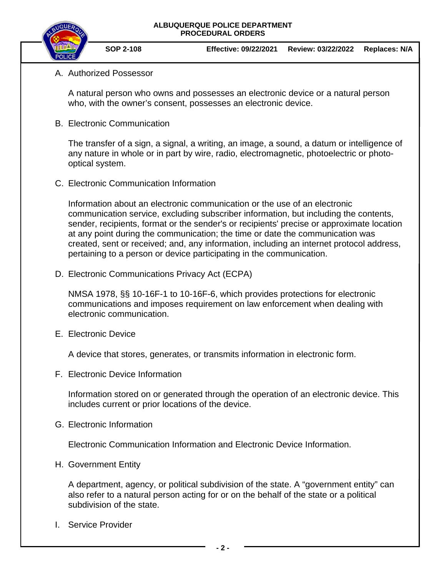

**SOP 2-108 Effective: 09/22/2021 Review: 03/22/2022 Replaces: N/A**

## A. Authorized Possessor

A natural person who owns and possesses an electronic device or a natural person who, with the owner's consent, possesses an electronic device.

B. Electronic Communication

The transfer of a sign, a signal, a writing, an image, a sound, a datum or intelligence of any nature in whole or in part by wire, radio, electromagnetic, photoelectric or photooptical system.

C. Electronic Communication Information

Information about an electronic communication or the use of an electronic communication service, excluding subscriber information, but including the contents, sender, recipients, format or the sender's or recipients' precise or approximate location at any point during the communication; the time or date the communication was created, sent or received; and, any information, including an internet protocol address, pertaining to a person or device participating in the communication.

D. Electronic Communications Privacy Act (ECPA)

NMSA 1978, §§ 10-16F-1 to 10-16F-6, which provides protections for electronic communications and imposes requirement on law enforcement when dealing with electronic communication.

E. Electronic Device

A device that stores, generates, or transmits information in electronic form.

F. Electronic Device Information

Information stored on or generated through the operation of an electronic device. This includes current or prior locations of the device.

G. Electronic Information

Electronic Communication Information and Electronic Device Information.

H. Government Entity

A department, agency, or political subdivision of the state. A "government entity" can also refer to a natural person acting for or on the behalf of the state or a political subdivision of the state.

I. Service Provider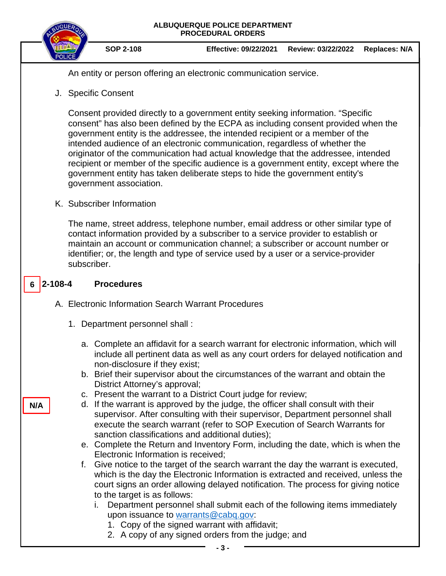

An entity or person offering an electronic communication service.

J. Specific Consent

Consent provided directly to a government entity seeking information. "Specific consent" has also been defined by the ECPA as including consent provided when the government entity is the addressee, the intended recipient or a member of the intended audience of an electronic communication, regardless of whether the originator of the communication had actual knowledge that the addressee, intended recipient or member of the specific audience is a government entity, except where the government entity has taken deliberate steps to hide the government entity's government association.

K. Subscriber Information

The name, street address, telephone number, email address or other similar type of contact information provided by a subscriber to a service provider to establish or maintain an account or communication channel; a subscriber or account number or identifier; or, the length and type of service used by a user or a service-provider subscriber.

#### **2-108-4 Procedures 6**

- A. Electronic Information Search Warrant Procedures
	- 1. Department personnel shall :
		- a. Complete an affidavit for a search warrant for electronic information, which will include all pertinent data as well as any court orders for delayed notification and non-disclosure if they exist;
		- b. Brief their supervisor about the circumstances of the warrant and obtain the District Attorney's approval;
		- c. Present the warrant to a District Court judge for review;
		- d. If the warrant is approved by the judge, the officer shall consult with their supervisor. After consulting with their supervisor, Department personnel shall execute the search warrant (refer to SOP Execution of Search Warrants for sanction classifications and additional duties);
		- e. Complete the Return and Inventory Form, including the date, which is when the Electronic Information is received;
		- f. Give notice to the target of the search warrant the day the warrant is executed, which is the day the Electronic Information is extracted and received, unless the court signs an order allowing delayed notification. The process for giving notice to the target is as follows:
			- i. Department personnel shall submit each of the following items immediately upon issuance to [warrants@cabq.gov:](mailto:warrants@cabq.gov)
				- 1. Copy of the signed warrant with affidavit;
				- 2. A copy of any signed orders from the judge; and

**N/A**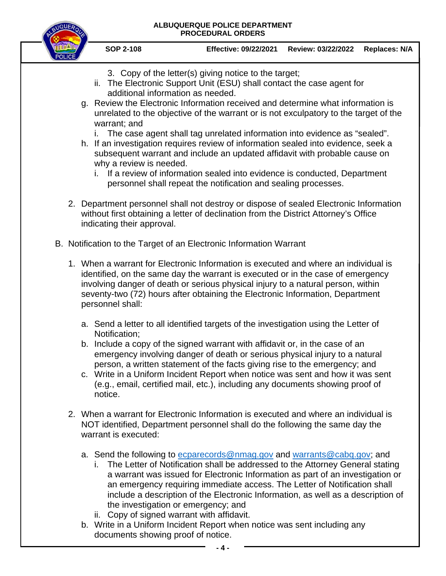

documents showing proof of notice.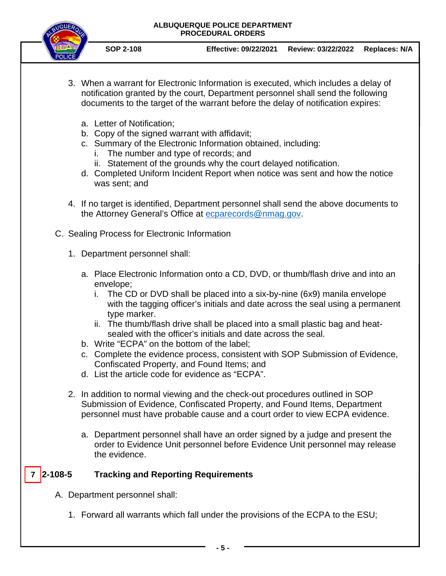

- **SOP 2-108 Effective: 09/22/2021 Review: 03/22/2022 Replaces: N/A**
- 3. When a warrant for Electronic Information is executed, which includes a delay of notification granted by the court, Department personnel shall send the following documents to the target of the warrant before the delay of notification expires:
	- a. Letter of Notification;
	- b. Copy of the signed warrant with affidavit;
	- c. Summary of the Electronic Information obtained, including:
		- i. The number and type of records; and
		- ii. Statement of the grounds why the court delayed notification.
	- d. Completed Uniform Incident Report when notice was sent and how the notice was sent; and
- 4. If no target is identified, Department personnel shall send the above documents to the Attorney General's Office at [ecparecords@nmag.gov.](mailto:ecparecords@nmag.gov)
- C. Sealing Process for Electronic Information
	- 1. Department personnel shall:
		- a. Place Electronic Information onto a CD, DVD, or thumb/flash drive and into an envelope;
			- i. The CD or DVD shall be placed into a six-by-nine (6x9) manila envelope with the tagging officer's initials and date across the seal using a permanent type marker.
			- ii. The thumb/flash drive shall be placed into a small plastic bag and heatsealed with the officer's initials and date across the seal.
		- b. Write "ECPA" on the bottom of the label;
		- c. Complete the evidence process, consistent with SOP Submission of Evidence, Confiscated Property, and Found Items; and
		- d. List the article code for evidence as "ECPA".
	- 2. In addition to normal viewing and the check-out procedures outlined in SOP Submission of Evidence, Confiscated Property, and Found Items, Department personnel must have probable cause and a court order to view ECPA evidence.
		- a. Department personnel shall have an order signed by a judge and present the order to Evidence Unit personnel before Evidence Unit personnel may release the evidence.

#### **2-108-5 Tracking and Reporting Requirements 7**

- A. Department personnel shall:
	- 1. Forward all warrants which fall under the provisions of the ECPA to the ESU;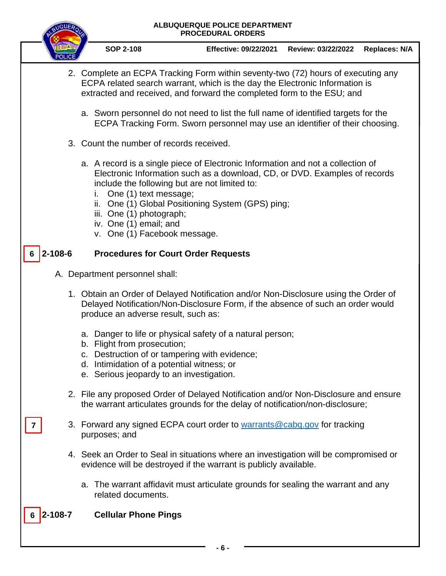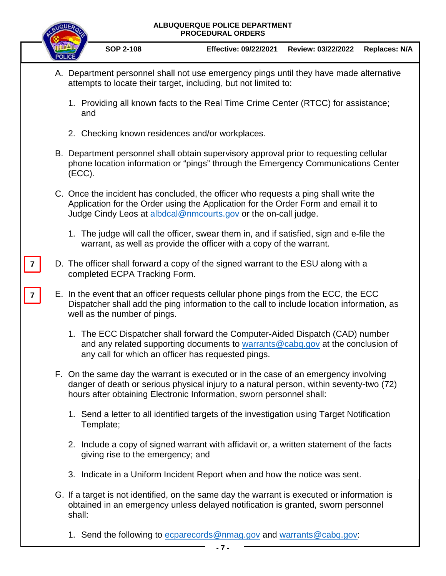| ALBUQUERQUE POLICE DEPARTMENT<br><b>PROCEDURAL ORDERS</b> |  |                                                                                                                                                                                                                                                        |                                                                                   |                    |                      |
|-----------------------------------------------------------|--|--------------------------------------------------------------------------------------------------------------------------------------------------------------------------------------------------------------------------------------------------------|-----------------------------------------------------------------------------------|--------------------|----------------------|
|                                                           |  | <b>SOP 2-108</b>                                                                                                                                                                                                                                       | <b>Effective: 09/22/2021</b>                                                      | Review: 03/22/2022 | <b>Replaces: N/A</b> |
|                                                           |  | A. Department personnel shall not use emergency pings until they have made alternative<br>attempts to locate their target, including, but not limited to:                                                                                              |                                                                                   |                    |                      |
|                                                           |  | 1. Providing all known facts to the Real Time Crime Center (RTCC) for assistance;<br>and                                                                                                                                                               |                                                                                   |                    |                      |
| $\overline{7}$<br>$\overline{7}$                          |  | 2. Checking known residences and/or workplaces.                                                                                                                                                                                                        |                                                                                   |                    |                      |
|                                                           |  | B. Department personnel shall obtain supervisory approval prior to requesting cellular<br>phone location information or "pings" through the Emergency Communications Center<br>(ECC).                                                                  |                                                                                   |                    |                      |
|                                                           |  | C. Once the incident has concluded, the officer who requests a ping shall write the<br>Application for the Order using the Application for the Order Form and email it to<br>Judge Cindy Leos at albdcal@nmcourts.gov or the on-call judge.            |                                                                                   |                    |                      |
|                                                           |  | 1. The judge will call the officer, swear them in, and if satisfied, sign and e-file the                                                                                                                                                               | warrant, as well as provide the officer with a copy of the warrant.               |                    |                      |
|                                                           |  | completed ECPA Tracking Form.                                                                                                                                                                                                                          | D. The officer shall forward a copy of the signed warrant to the ESU along with a |                    |                      |
|                                                           |  | E. In the event that an officer requests cellular phone pings from the ECC, the ECC<br>Dispatcher shall add the ping information to the call to include location information, as<br>well as the number of pings.                                       |                                                                                   |                    |                      |
|                                                           |  | 1. The ECC Dispatcher shall forward the Computer-Aided Dispatch (CAD) number<br>any call for which an officer has requested pings.                                                                                                                     | and any related supporting documents to warrants@cabq.gov at the conclusion of    |                    |                      |
|                                                           |  | F. On the same day the warrant is executed or in the case of an emergency involving<br>danger of death or serious physical injury to a natural person, within seventy-two (72)<br>hours after obtaining Electronic Information, sworn personnel shall: |                                                                                   |                    |                      |
|                                                           |  | 1. Send a letter to all identified targets of the investigation using Target Notification<br>Template;                                                                                                                                                 |                                                                                   |                    |                      |
|                                                           |  | 2. Include a copy of signed warrant with affidavit or, a written statement of the facts<br>giving rise to the emergency; and                                                                                                                           |                                                                                   |                    |                      |
|                                                           |  | 3. Indicate in a Uniform Incident Report when and how the notice was sent.                                                                                                                                                                             |                                                                                   |                    |                      |
|                                                           |  | G. If a target is not identified, on the same day the warrant is executed or information is<br>obtained in an emergency unless delayed notification is granted, sworn personnel<br>shall:                                                              |                                                                                   |                    |                      |
|                                                           |  | 1. Send the following to ecparecords@nmag.gov and warrants@cabq.gov:                                                                                                                                                                                   | - 7 -                                                                             |                    |                      |